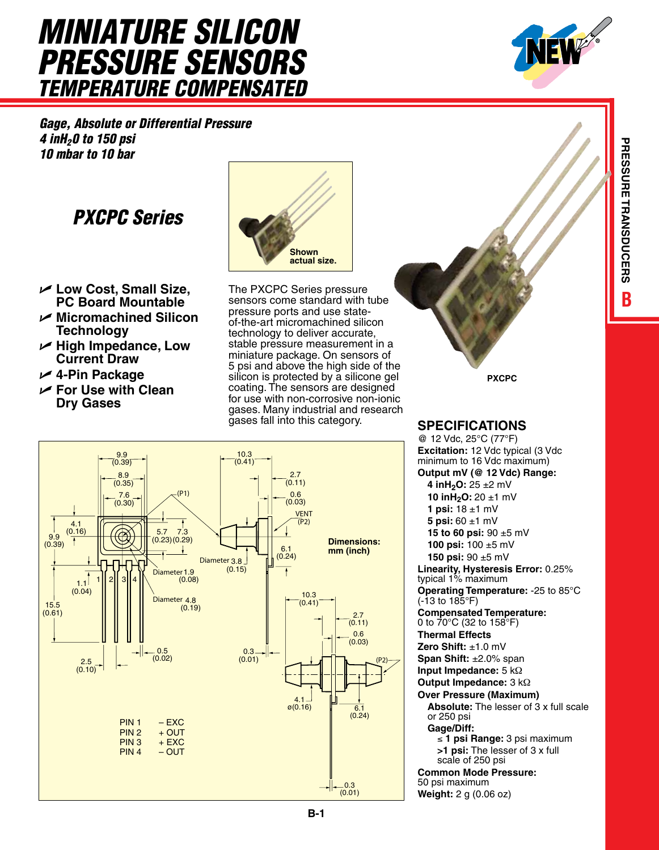# *Miniature Silicon Pressure Sensors Temperature Compensated*

*Gage, Absolute or Differential Pressure 4 inH20 to 150 psi 10 mbar to 10 bar*

## *PXCPC Series*

- **Low Cost, Small Size, PC Board Mountable**
- **Micromachined Silicon Technology**
- **High Impedance, Low Current Draw**
- **4-Pin Package**
- **For Use with Clean Dry Gases**



The PXCPC Series pressure sensors come standard with tube pressure ports and use stateof-the-art micromachined silicon technology to deliver accurate, stable pressure measurement in a miniature package. On sensors of 5 psi and above the high side of the **s** a silicon is protected by a silicone gel **PXCPC** coating. The sensors are designed for use with non-corrosive non-ionic gases. Many industrial and research gases fall into this category. **Specifications**



@ 12 Vdc, 25°C (77°F) **Excitation:** 12 Vdc typical (3 Vdc minimum to 16 Vdc maximum) **Output mV (@ 12 Vdc) Range: 4 inH2O:** 25 ±2 mV **10 inH2O:** 20 ±1 mV **1 psi:** 18 ±1 mV **5 psi:** 60 ±1 mV **15 to 60 psi:** 90 ±5 mV **100 psi:** 100 ±5 mV **150 psi:** 90 ±5 mV **Linearity, Hysteresis Error:** 0.25% typical 1% maximum **Operating Temperature:** -25 to 85°C (-13 to 185°F) **Compensated Temperature:** 0 to 70°C (32 to 158°F) **Thermal Effects Zero Shift:** ±1.0 mV **Span Shift:** ±2.0% span **Input Impedance:** 5 kΩ **Output Impedance:** 3 kΩ **Over Pressure (Maximum) Absolute:** The lesser of 3 x full scale or 250 psi **Gage/Diff:** ≤ **1 psi Range:** 3 psi maximum  **>1 psi:** The lesser of 3 x full scale of 250 psi **Common Mode Pressure:** 50 psi maximum

**Weight:** 2 g (0.06 oz)